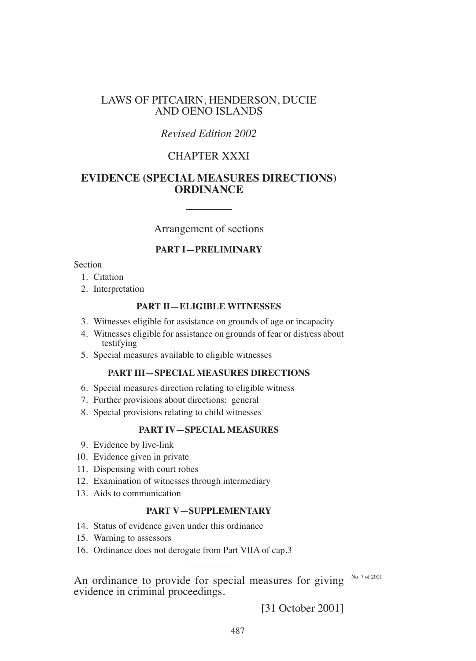## LAWS OF PITCAIRN, HENDERSON, DUCIE AND OENO ISLANDS

# *Revised Edition 2002*

# CHAPTER XXXI

## **EVIDENCE (SPECIAL MEASURES DIRECTIONS) ORDINANCE**

Arrangement of sections

## **PART I—PRELIMINARY**

Section

- 1. Citation
- 2. Interpretation

#### **PART II—ELIgIbLE WITNESSES**

- 3. Witnesses eligible for assistance on grounds of age or incapacity
- 4. Witnesses eligible for assistance on grounds of fear or distress about testifying
- 5. Special measures available to eligible witnesses

## **PART III—SPECIAL MEASURES DIRECTIONS**

- 6. Special measures direction relating to eligible witness
- 7. Further provisions about directions: general
- 8. Special provisions relating to child witnesses

#### **PART IV—SPECIAL MEASURES**

- 9. Evidence by live-link
- 10. Evidence given in private
- 11. Dispensing with court robes
- 12. Examination of witnesses through intermediary
- 13. Aids to communication

#### **PART V—SUPPLEMENTARY**

- 14. Status of evidence given under this ordinance
- 15. Warning to assessors
- 16. Ordinance does not derogate from Part VIIA of cap.3

An ordinance to provide for special measures for giving  $N_0$ ,  $7 \times 10^{12001}$ evidence in criminal proceedings.

[31 October 2001]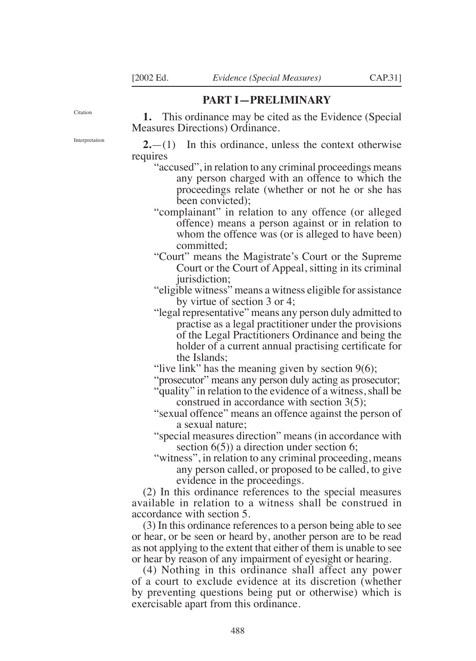### **PART I—PRELIMINARY**

Citation

**1.** This ordinance may be cited as the Evidence (Special Measures Directions) Ordinance.

Interpretation

**2.**—(1) In this ordinance, unless the context otherwise requires

- "accused", in relation to any criminal proceedings means any person charged with an offence to which the proceedings relate (whether or not he or she has been convicted);
- "complainant" in relation to any offence (or alleged offence) means a person against or in relation to whom the offence was (or is alleged to have been) committed;
- "Court" means the Magistrate's Court or the Supreme Court or the Court of Appeal, sitting in its criminal jurisdiction;

"eligible witness" means a witness eligible for assistance by virtue of section 3 or 4;

"legal representative" means any person duly admitted to practise as a legal practitioner under the provisions of the Legal Practitioners Ordinance and being the holder of a current annual practising certificate for the Islands;

"live link" has the meaning given by section  $9(6)$ ;

"prosecutor" means any person duly acting as prosecutor;

- "quality" in relation to the evidence of a witness, shall be construed in accordance with section 3(5);
- "sexual offence" means an offence against the person of a sexual nature;
- "special measures direction" means (in accordance with section 6(5)) a direction under section 6;
- "witness", in relation to any criminal proceeding, means any person called, or proposed to be called, to give evidence in the proceedings.

(2) In this ordinance references to the special measures available in relation to a witness shall be construed in accordance with section 5.

(3) In this ordinance references to a person being able to see or hear, or be seen or heard by, another person are to be read as not applying to the extent that either of them is unable to see or hear by reason of any impairment of eyesight or hearing.

(4) Nothing in this ordinance shall affect any power of a court to exclude evidence at its discretion (whether by preventing questions being put or otherwise) which is exercisable apart from this ordinance.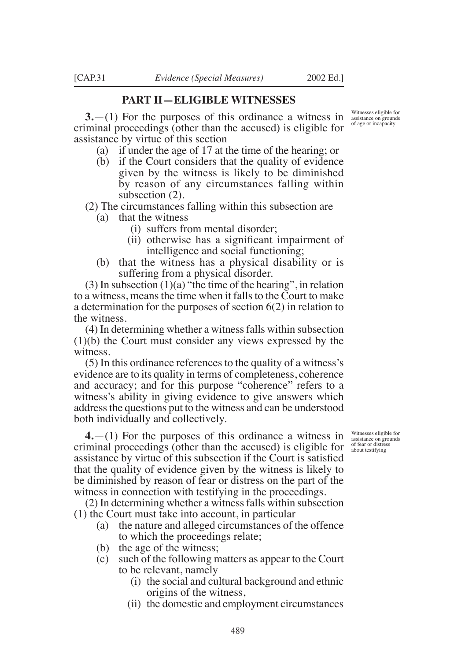#### **PART II—ELIgIbLE WITNESSES**

**3.**—(1) For the purposes of this ordinance a witness in criminal proceedings (other than the accused) is eligible for assistance by virtue of this section

- (a) if under the age of 17 at the time of the hearing; or
- (b) if the Court considers that the quality of evidence given by the witness is likely to be diminished by reason of any circumstances falling within subsection (2).

(2) The circumstances falling within this subsection are

- (a) that the witness
	- (i) suffers from mental disorder;
	- (ii) otherwise has a significant impairment of intelligence and social functioning;
- (b) that the witness has a physical disability or is suffering from a physical disorder.

 $(3)$  In subsection  $(1)(a)$  "the time of the hearing", in relation to a witness, means the time when it falls to the Court to make a determination for the purposes of section 6(2) in relation to the witness.

(4) In determining whether a witness falls within subsection (1)(b) the Court must consider any views expressed by the witness.

(5) In this ordinance references to the quality of a witness's evidence are to its quality in terms of completeness, coherence and accuracy; and for this purpose "coherence" refers to a witness's ability in giving evidence to give answers which address the questions put to the witness and can be understood both individually and collectively.

**4.**—(1) For the purposes of this ordinance a witness in criminal proceedings (other than the accused) is eligible for assistance by virtue of this subsection if the Court is satisied that the quality of evidence given by the witness is likely to be diminished by reason of fear or distress on the part of the witness in connection with testifying in the proceedings.

(2) In determining whether a witness falls within subsection (1) the Court must take into account, in particular

- (a) the nature and alleged circumstances of the offence to which the proceedings relate;
- (b) the age of the witness;
- (c) such of the following matters as appear to the Court to be relevant, namely
	- (i) the social and cultural background and ethnic origins of the witness,
	- (ii) the domestic and employment circumstances

Witnesses eligible for assistance on grounds of fear or distress about testifying

Witnesses eligible for assistance on grounds of age or incapacity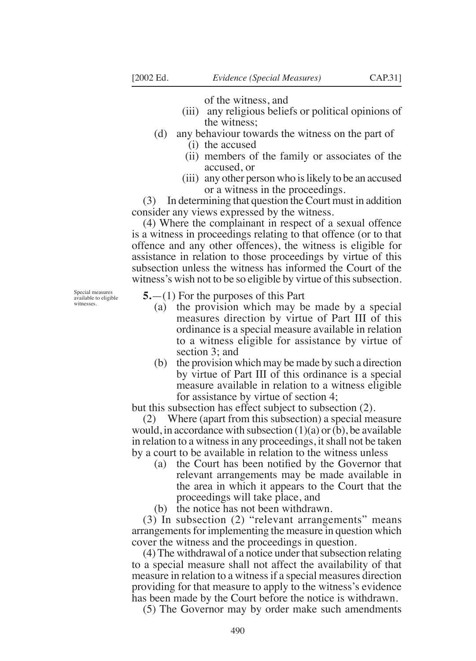of the witness, and

- (iii) any religious beliefs or political opinions of the witness;
- (d) any behaviour towards the witness on the part of (i) the accused
	-
	- (ii) members of the family or associates of the accused, or
	- (iii) any other person who is likely to be an accused or a witness in the proceedings.

(3) In determining that question the Court must in addition consider any views expressed by the witness.

(4) Where the complainant in respect of a sexual offence is a witness in proceedings relating to that offence (or to that offence and any other offences), the witness is eligible for assistance in relation to those proceedings by virtue of this subsection unless the witness has informed the Court of the witness's wish not to be so eligible by virtue of this subsection.

Special measures available to eligible witnesses

#### **5.**—(1) For the purposes of this Part

- (a) the provision which may be made by a special measures direction by virtue of Part III of this ordinance is a special measure available in relation to a witness eligible for assistance by virtue of section 3; and
- (b) the provision which may be made by such a direction by virtue of Part III of this ordinance is a special measure available in relation to a witness eligible for assistance by virtue of section 4;

but this subsection has effect subject to subsection (2).

(2) Where (apart from this subsection) a special measure would, in accordance with subsection  $(1)(a)$  or  $(b)$ , be available in relation to a witness in any proceedings, it shall not be taken by a court to be available in relation to the witness unless

- (a) the Court has been notified by the Governor that relevant arrangements may be made available in the area in which it appears to the Court that the proceedings will take place, and
- (b) the notice has not been withdrawn.

(3) In subsection (2) "relevant arrangements" means arrangements for implementing the measure in question which cover the witness and the proceedings in question.

(4) The withdrawal of a notice under that subsection relating to a special measure shall not affect the availability of that measure in relation to a witness if a special measures direction providing for that measure to apply to the witness's evidence has been made by the Court before the notice is withdrawn.

(5) The Governor may by order make such amendments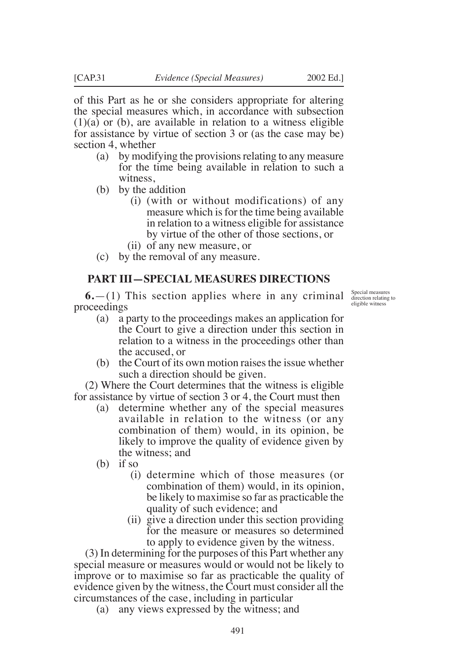of this Part as he or she considers appropriate for altering the special measures which, in accordance with subsection  $(1)(a)$  or  $(b)$ , are available in relation to a witness eligible for assistance by virtue of section 3 or (as the case may be) section 4, whether

- (a) by modifying the provisions relating to any measure for the time being available in relation to such a witness,
- (b) by the addition
	- (i) (with or without modifications) of any measure which is for the time being available in relation to a witness eligible for assistance by virtue of the other of those sections, or
	- (ii) of any new measure, or
- (c) by the removal of any measure.

## **PART III—SPECIAL MEASURES DIRECTIONS**

**6.**—(1) This section applies where in any criminal proceedings

- (a) a party to the proceedings makes an application for the Court to give a direction under this section in relation to a witness in the proceedings other than the accused, or
- (b) the Court of its own motion raises the issue whether such a direction should be given.

(2) Where the Court determines that the witness is eligible for assistance by virtue of section 3 or 4, the Court must then

- (a) determine whether any of the special measures available in relation to the witness (or any combination of them) would, in its opinion, be likely to improve the quality of evidence given by the witness; and
- (b) if so
	- (i) determine which of those measures (or combination of them) would, in its opinion, be likely to maximise so far as practicable the quality of such evidence; and
	- (ii) give a direction under this section providing for the measure or measures so determined to apply to evidence given by the witness.

(3) In determining for the purposes of this Part whether any special measure or measures would or would not be likely to improve or to maximise so far as practicable the quality of evidence given by the witness, the Court must consider all the circumstances of the case, including in particular

(a) any views expressed by the witness; and

Special measures direction relating to eligible witness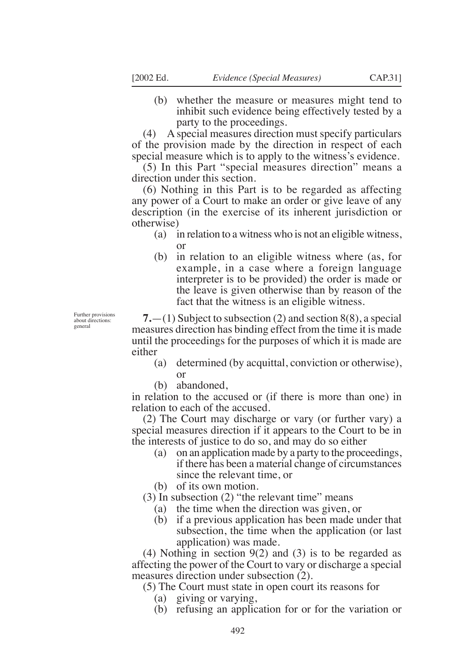(b) whether the measure or measures might tend to inhibit such evidence being effectively tested by a party to the proceedings.

(4) A special measures direction must specify particulars of the provision made by the direction in respect of each special measure which is to apply to the witness's evidence.

(5) In this Part "special measures direction" means a direction under this section.

(6) Nothing in this Part is to be regarded as affecting any power of a Court to make an order or give leave of any description (in the exercise of its inherent jurisdiction or otherwise)

- (a) in relation to a witness who is not an eligible witness, or
- (b) in relation to an eligible witness where (as, for example, in a case where a foreign language interpreter is to be provided) the order is made or the leave is given otherwise than by reason of the fact that the witness is an eligible witness.

**7.**—(1) Subject to subsection (2) and section 8(8), a special measures direction has binding effect from the time it is made until the proceedings for the purposes of which it is made are either

- (a) determined (by acquittal, conviction or otherwise), or
- (b) abandoned,

in relation to the accused or (if there is more than one) in relation to each of the accused.

(2) The Court may discharge or vary (or further vary) a special measures direction if it appears to the Court to be in the interests of justice to do so, and may do so either

- (a) on an application made by a party to the proceedings, if there has been a material change of circumstances since the relevant time, or
- (b) of its own motion.

(3) In subsection (2) "the relevant time" means

- (a) the time when the direction was given, or
- (b) if a previous application has been made under that subsection, the time when the application (or last application) was made.

(4) Nothing in section 9(2) and (3) is to be regarded as affecting the power of the Court to vary or discharge a special measures direction under subsection (2).

(5) The Court must state in open court its reasons for

- (a) giving or varying,
- (b) refusing an application for or for the variation or

Further provisions about directions: general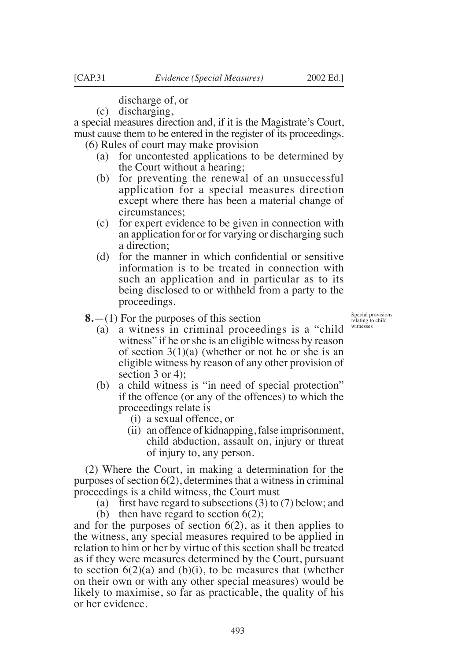discharge of, or

(c) discharging,

a special measures direction and, if it is the Magistrate's Court, must cause them to be entered in the register of its proceedings. (6) Rules of court may make provision

- - (a) for uncontested applications to be determined by the Court without a hearing;
	- (b) for preventing the renewal of an unsuccessful application for a special measures direction except where there has been a material change of circumstances;
	- (c) for expert evidence to be given in connection with an application for or for varying or discharging such a direction;
	- (d) for the manner in which conidential or sensitive information is to be treated in connection with such an application and in particular as to its being disclosed to or withheld from a party to the proceedings.
- **8.**—(1) For the purposes of this section

Special provisions relating to child witnesses

- (a) a witness in criminal proceedings is a "child witness" if he or she is an eligible witness by reason of section  $3(1)(a)$  (whether or not he or she is an eligible witness by reason of any other provision of section 3 or 4);
- (b) a child witness is "in need of special protection" if the offence (or any of the offences) to which the proceedings relate is
	- (i) a sexual offence, or
	- (ii) an offence of kidnapping, false imprisonment, child abduction, assault on, injury or threat of injury to, any person.

(2) Where the Court, in making a determination for the purposes of section 6(2), determines that a witness in criminal proceedings is a child witness, the Court must

(a) first have regard to subsections  $(3)$  to  $(7)$  below; and

(b) then have regard to section  $6(2)$ ; and for the purposes of section  $6(2)$ , as it then applies to the witness, any special measures required to be applied in relation to him or her by virtue of this section shall be treated as if they were measures determined by the Court, pursuant to section  $6(2)(a)$  and  $(b)(i)$ , to be measures that (whether on their own or with any other special measures) would be likely to maximise, so far as practicable, the quality of his or her evidence.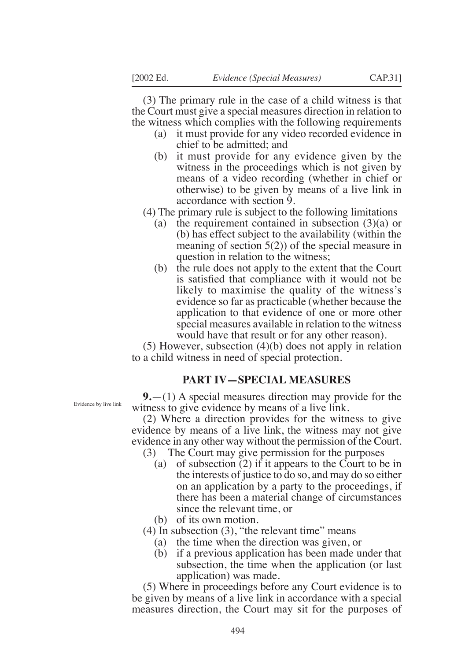(3) The primary rule in the case of a child witness is that the Court must give a special measures direction in relation to the witness which complies with the following requirements

- (a) it must provide for any video recorded evidence in chief to be admitted; and
- (b) it must provide for any evidence given by the witness in the proceedings which is not given by means of a video recording (whether in chief or otherwise) to be given by means of a live link in accordance with section 9.
- (4) The primary rule is subject to the following limitations
	- (a) the requirement contained in subsection  $(3)(a)$  or (b) has effect subject to the availability (within the meaning of section 5(2)) of the special measure in question in relation to the witness;
	- (b) the rule does not apply to the extent that the Court is satisied that compliance with it would not be likely to maximise the quality of the witness's evidence so far as practicable (whether because the application to that evidence of one or more other special measures available in relation to the witness would have that result or for any other reason).

(5) However, subsection (4)(b) does not apply in relation to a child witness in need of special protection.

#### **PART IV—SPECIAL MEASURES**

**9.**—(1) A special measures direction may provide for the witness to give evidence by means of a live link.

(2) Where a direction provides for the witness to give evidence by means of a live link, the witness may not give evidence in any other way without the permission of the Court.

- (3) The Court may give permission for the purposes
	- (a) of subsection (2) if it appears to the Court to be in the interests of justice to do so, and may do so either on an application by a party to the proceedings, if there has been a material change of circumstances since the relevant time, or
	- (b) of its own motion.

 $(4)$  In subsection  $(3)$ , "the relevant time" means

- (a) the time when the direction was given, or
- (b) if a previous application has been made under that subsection, the time when the application (or last application) was made.

(5) Where in proceedings before any Court evidence is to be given by means of a live link in accordance with a special measures direction, the Court may sit for the purposes of

Evidence by live link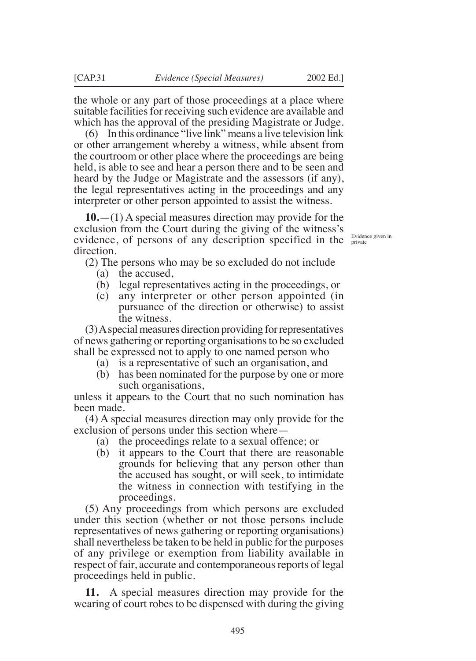the whole or any part of those proceedings at a place where suitable facilities for receiving such evidence are available and which has the approval of the presiding Magistrate or Judge.

(6) In this ordinance "live link" means a live television link or other arrangement whereby a witness, while absent from the courtroom or other place where the proceedings are being held, is able to see and hear a person there and to be seen and heard by the Judge or Magistrate and the assessors (if any), the legal representatives acting in the proceedings and any interpreter or other person appointed to assist the witness.

**10.**—(1) A special measures direction may provide for the exclusion from the Court during the giving of the witness's evidence, of persons of any description specified in the  $\frac{\text{Evidence given in}}{\text{private}}$ direction.

(2) The persons who may be so excluded do not include

- (a) the accused,
- (b) legal representatives acting in the proceedings, or
- (c) any interpreter or other person appointed (in pursuance of the direction or otherwise) to assist the witness.

(3) A special measures direction providing for representatives of news gathering or reporting organisations to be so excluded shall be expressed not to apply to one named person who

- (a) is a representative of such an organisation, and
- (b) has been nominated for the purpose by one or more such organisations,

unless it appears to the Court that no such nomination has been made.

(4) A special measures direction may only provide for the exclusion of persons under this section where—

- (a) the proceedings relate to a sexual offence; or
- (b) it appears to the Court that there are reasonable grounds for believing that any person other than the accused has sought, or will seek, to intimidate the witness in connection with testifying in the proceedings.

(5) Any proceedings from which persons are excluded under this section (whether or not those persons include representatives of news gathering or reporting organisations) shall nevertheless be taken to be held in public for the purposes of any privilege or exemption from liability available in respect of fair, accurate and contemporaneous reports of legal proceedings held in public.

**11.** A special measures direction may provide for the wearing of court robes to be dispensed with during the giving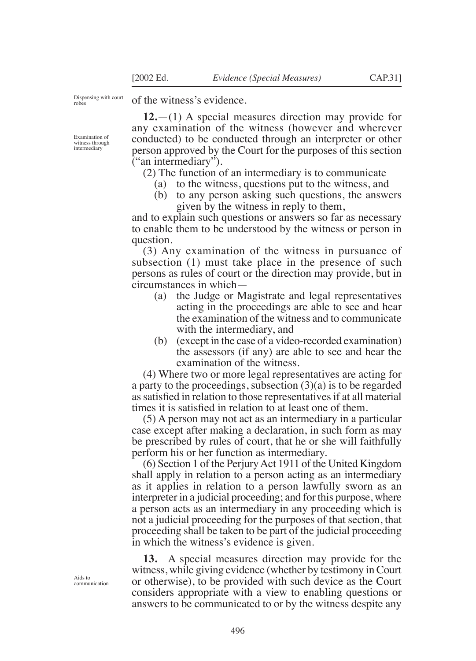Dispensing with court robes

of the witness's evidence.

**12.**—(1) A special measures direction may provide for any examination of the witness (however and wherever conducted) to be conducted through an interpreter or other person approved by the Court for the purposes of this section ("an intermediary").

(2) The function of an intermediary is to communicate

- (a) to the witness, questions put to the witness, and
- (b) to any person asking such questions, the answers given by the witness in reply to them,

and to explain such questions or answers so far as necessary to enable them to be understood by the witness or person in question.

(3) Any examination of the witness in pursuance of subsection (1) must take place in the presence of such persons as rules of court or the direction may provide, but in circumstances in which—

- (a) the Judge or Magistrate and legal representatives acting in the proceedings are able to see and hear the examination of the witness and to communicate with the intermediary, and
- (b) (except in the case of a video-recorded examination) the assessors (if any) are able to see and hear the examination of the witness.

(4) Where two or more legal representatives are acting for a party to the proceedings, subsection (3)(a) is to be regarded as satisied in relation to those representatives if at all material times it is satisied in relation to at least one of them.

(5) A person may not act as an intermediary in a particular case except after making a declaration, in such form as may be prescribed by rules of court, that he or she will faithfully perform his or her function as intermediary.

(6) Section 1 of the Perjury Act 1911 of the United Kingdom shall apply in relation to a person acting as an intermediary as it applies in relation to a person lawfully sworn as an interpreter in a judicial proceeding; and for this purpose, where a person acts as an intermediary in any proceeding which is not a judicial proceeding for the purposes of that section, that proceeding shall be taken to be part of the judicial proceeding in which the witness's evidence is given.

**13.** A special measures direction may provide for the witness, while giving evidence (whether by testimony in Court or otherwise), to be provided with such device as the Court considers appropriate with a view to enabling questions or answers to be communicated to or by the witness despite any

Aids to communication

Examination of witness through intermediary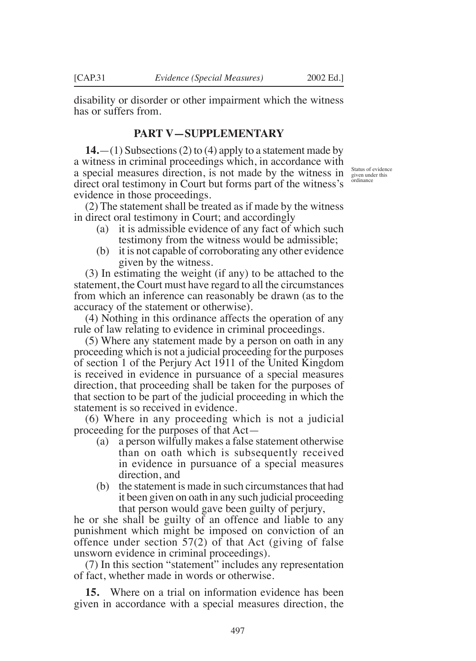disability or disorder or other impairment which the witness has or suffers from.

## **PART V—SUPPLEMENTARY**

**14.**—(1) Subsections (2) to (4) apply to a statement made by a witness in criminal proceedings which, in accordance with a special measures direction, is not made by the witness in direct oral testimony in Court but forms part of the witness's evidence in those proceedings.

(2) The statement shall be treated as if made by the witness in direct oral testimony in Court; and accordingly

- (a) it is admissible evidence of any fact of which such testimony from the witness would be admissible;
- (b) it is not capable of corroborating any other evidence given by the witness.

(3) In estimating the weight (if any) to be attached to the statement, the Court must have regard to all the circumstances from which an inference can reasonably be drawn (as to the accuracy of the statement or otherwise).

(4) Nothing in this ordinance affects the operation of any rule of law relating to evidence in criminal proceedings.

(5) Where any statement made by a person on oath in any proceeding which is not a judicial proceeding for the purposes of section 1 of the Perjury Act 1911 of the United Kingdom is received in evidence in pursuance of a special measures direction, that proceeding shall be taken for the purposes of that section to be part of the judicial proceeding in which the statement is so received in evidence.

(6) Where in any proceeding which is not a judicial proceeding for the purposes of that Act—

- (a) a person wilfully makes a false statement otherwise than on oath which is subsequently received in evidence in pursuance of a special measures direction, and
- (b) the statement is made in such circumstances that had it been given on oath in any such judicial proceeding that person would gave been guilty of perjury,

he or she shall be guilty of an offence and liable to any punishment which might be imposed on conviction of an offence under section 57(2) of that Act (giving of false unsworn evidence in criminal proceedings).

(7) In this section "statement" includes any representation of fact, whether made in words or otherwise.

**15.** Where on a trial on information evidence has been given in accordance with a special measures direction, the

Status of evidence given under this ordinance